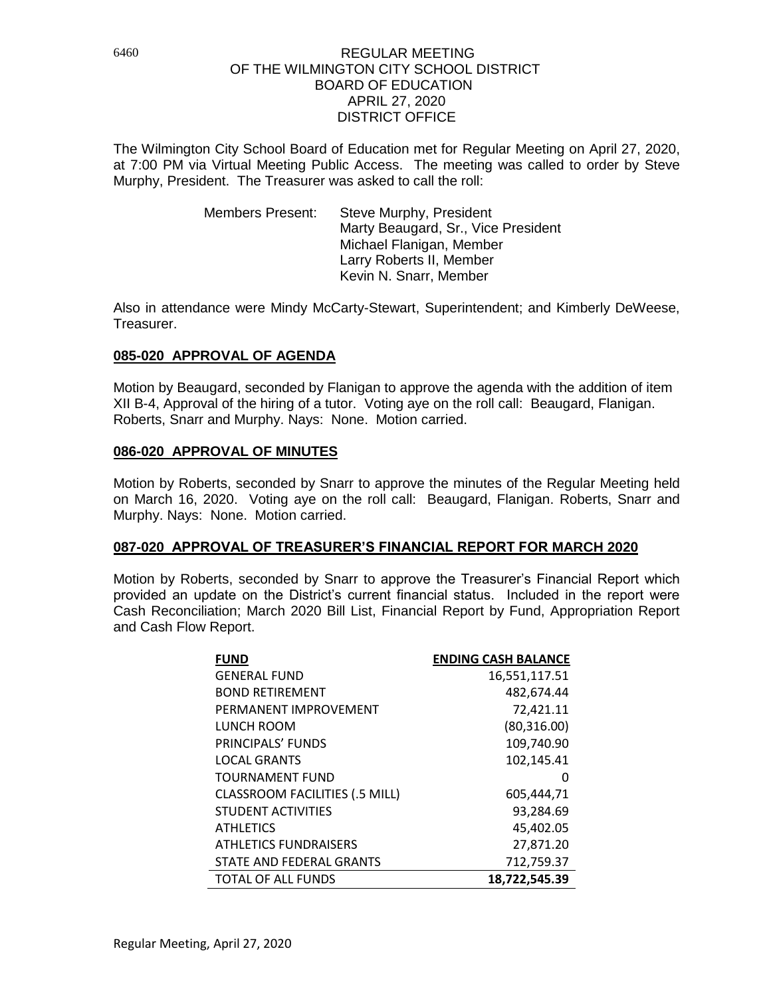The Wilmington City School Board of Education met for Regular Meeting on April 27, 2020, at 7:00 PM via Virtual Meeting Public Access. The meeting was called to order by Steve Murphy, President. The Treasurer was asked to call the roll:

> Members Present: Steve Murphy, President Marty Beaugard, Sr., Vice President Michael Flanigan, Member Larry Roberts II, Member Kevin N. Snarr, Member

Also in attendance were Mindy McCarty-Stewart, Superintendent; and Kimberly DeWeese, Treasurer.

# **085-020 APPROVAL OF AGENDA**

Motion by Beaugard, seconded by Flanigan to approve the agenda with the addition of item XII B-4, Approval of the hiring of a tutor. Voting aye on the roll call: Beaugard, Flanigan. Roberts, Snarr and Murphy. Nays: None. Motion carried.

# **086-020 APPROVAL OF MINUTES**

Motion by Roberts, seconded by Snarr to approve the minutes of the Regular Meeting held on March 16, 2020. Voting aye on the roll call: Beaugard, Flanigan. Roberts, Snarr and Murphy. Nays: None. Motion carried.

# **087-020 APPROVAL OF TREASURER'S FINANCIAL REPORT FOR MARCH 2020**

Motion by Roberts, seconded by Snarr to approve the Treasurer's Financial Report which provided an update on the District's current financial status. Included in the report were Cash Reconciliation; March 2020 Bill List, Financial Report by Fund, Appropriation Report and Cash Flow Report.

| <b>FUND</b>                           | <b>ENDING CASH BALANCE</b> |
|---------------------------------------|----------------------------|
| <b>GENERAL FUND</b>                   | 16,551,117.51              |
| <b>BOND RETIREMENT</b>                | 482,674.44                 |
| PERMANENT IMPROVEMENT                 | 72,421.11                  |
| LUNCH ROOM                            | (80,316.00)                |
| PRINCIPALS' FUNDS                     | 109,740.90                 |
| <b>LOCAL GRANTS</b>                   | 102,145.41                 |
| <b>TOURNAMENT FUND</b>                | $\mathbf{U}$               |
| <b>CLASSROOM FACILITIES (.5 MILL)</b> | 605,444,71                 |
| <b>STUDENT ACTIVITIES</b>             | 93,284.69                  |
| <b>ATHLETICS</b>                      | 45,402.05                  |
| <b>ATHLETICS FUNDRAISERS</b>          | 27,871.20                  |
| STATE AND FEDERAL GRANTS              | 712,759.37                 |
| <b>TOTAL OF ALL FUNDS</b>             | 18.722.545.39              |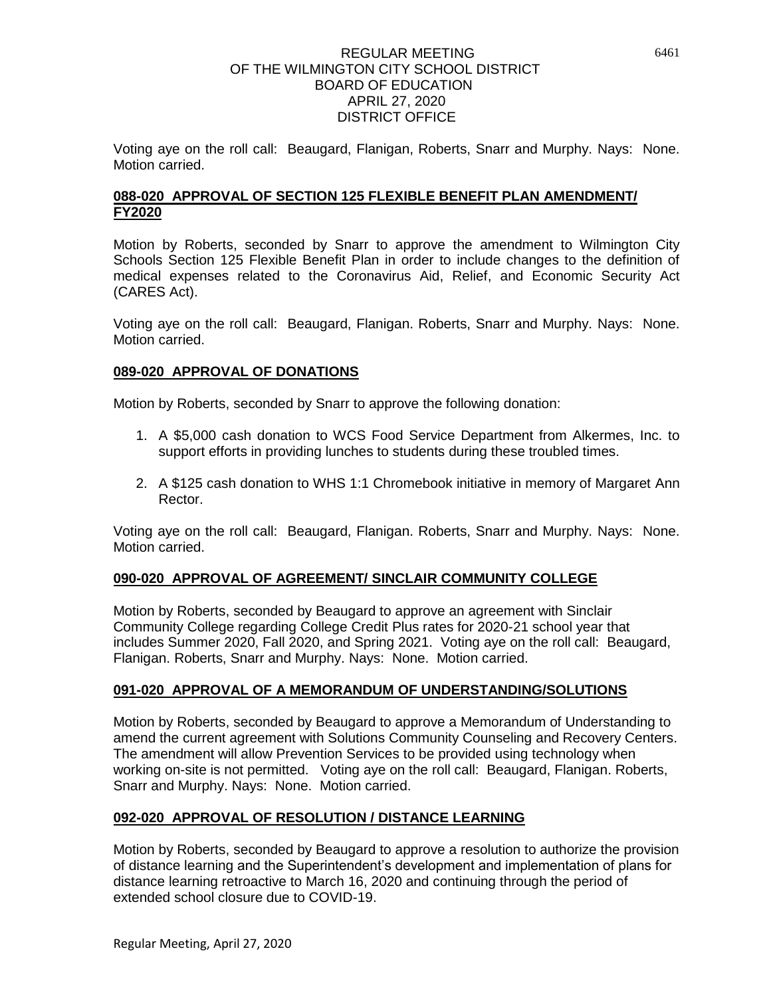Voting aye on the roll call: Beaugard, Flanigan, Roberts, Snarr and Murphy. Nays: None. Motion carried.

# **088-020 APPROVAL OF SECTION 125 FLEXIBLE BENEFIT PLAN AMENDMENT/ FY2020**

Motion by Roberts, seconded by Snarr to approve the amendment to Wilmington City Schools Section 125 Flexible Benefit Plan in order to include changes to the definition of medical expenses related to the Coronavirus Aid, Relief, and Economic Security Act (CARES Act).

Voting aye on the roll call: Beaugard, Flanigan. Roberts, Snarr and Murphy. Nays: None. Motion carried.

## **089-020 APPROVAL OF DONATIONS**

Motion by Roberts, seconded by Snarr to approve the following donation:

- 1. A \$5,000 cash donation to WCS Food Service Department from Alkermes, Inc. to support efforts in providing lunches to students during these troubled times.
- 2. A \$125 cash donation to WHS 1:1 Chromebook initiative in memory of Margaret Ann Rector.

Voting aye on the roll call: Beaugard, Flanigan. Roberts, Snarr and Murphy. Nays: None. Motion carried.

### **090-020 APPROVAL OF AGREEMENT/ SINCLAIR COMMUNITY COLLEGE**

Motion by Roberts, seconded by Beaugard to approve an agreement with Sinclair Community College regarding College Credit Plus rates for 2020-21 school year that includes Summer 2020, Fall 2020, and Spring 2021. Voting aye on the roll call: Beaugard, Flanigan. Roberts, Snarr and Murphy. Nays: None. Motion carried.

### **091-020 APPROVAL OF A MEMORANDUM OF UNDERSTANDING/SOLUTIONS**

Motion by Roberts, seconded by Beaugard to approve a Memorandum of Understanding to amend the current agreement with Solutions Community Counseling and Recovery Centers. The amendment will allow Prevention Services to be provided using technology when working on-site is not permitted. Voting aye on the roll call: Beaugard, Flanigan. Roberts, Snarr and Murphy. Nays: None. Motion carried.

# **092-020 APPROVAL OF RESOLUTION / DISTANCE LEARNING**

Motion by Roberts, seconded by Beaugard to approve a resolution to authorize the provision of distance learning and the Superintendent's development and implementation of plans for distance learning retroactive to March 16, 2020 and continuing through the period of extended school closure due to COVID-19.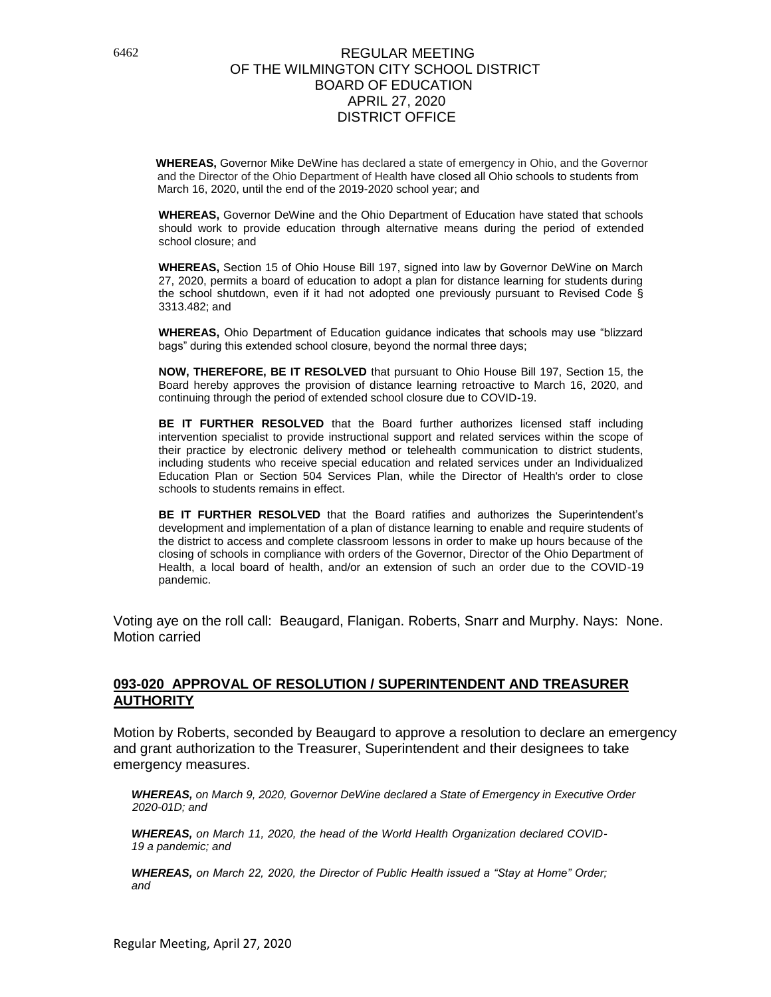**WHEREAS,** Governor Mike DeWine has declared a state of emergency in Ohio, and the Governor and the Director of the Ohio Department of Health have closed all Ohio schools to students from March 16, 2020, until the end of the 2019-2020 school year; and

**WHEREAS,** Governor DeWine and the Ohio Department of Education have stated that schools should work to provide education through alternative means during the period of extended school closure; and

**WHEREAS,** Section 15 of Ohio House Bill 197, signed into law by Governor DeWine on March 27, 2020, permits a board of education to adopt a plan for distance learning for students during the school shutdown, even if it had not adopted one previously pursuant to Revised Code  $\tilde{\S}$ 3313.482; and

**WHEREAS,** Ohio Department of Education guidance indicates that schools may use "blizzard bags" during this extended school closure, beyond the normal three days;

**NOW, THEREFORE, BE IT RESOLVED** that pursuant to Ohio House Bill 197, Section 15, the Board hereby approves the provision of distance learning retroactive to March 16, 2020, and continuing through the period of extended school closure due to COVID-19.

**BE IT FURTHER RESOLVED** that the Board further authorizes licensed staff including intervention specialist to provide instructional support and related services within the scope of their practice by electronic delivery method or telehealth communication to district students, including students who receive special education and related services under an Individualized Education Plan or Section 504 Services Plan, while the Director of Health's order to close schools to students remains in effect.

**BE IT FURTHER RESOLVED** that the Board ratifies and authorizes the Superintendent's development and implementation of a plan of distance learning to enable and require students of the district to access and complete classroom lessons in order to make up hours because of the closing of schools in compliance with orders of the Governor, Director of the Ohio Department of Health, a local board of health, and/or an extension of such an order due to the COVID-19 pandemic.

Voting aye on the roll call: Beaugard, Flanigan. Roberts, Snarr and Murphy. Nays: None. Motion carried

### **093-020 APPROVAL OF RESOLUTION / SUPERINTENDENT AND TREASURER AUTHORITY**

Motion by Roberts, seconded by Beaugard to approve a resolution to declare an emergency and grant authorization to the Treasurer, Superintendent and their designees to take emergency measures.

 *WHEREAS, on March 9, 2020, Governor DeWine declared a State of Emergency in Executive Order 2020-01D; and*

*WHEREAS, on March 11, 2020, the head of the World Health Organization declared COVID-19 a pandemic; and*

*WHEREAS, on March 22, 2020, the Director of Public Health issued a "Stay at Home" Order; and*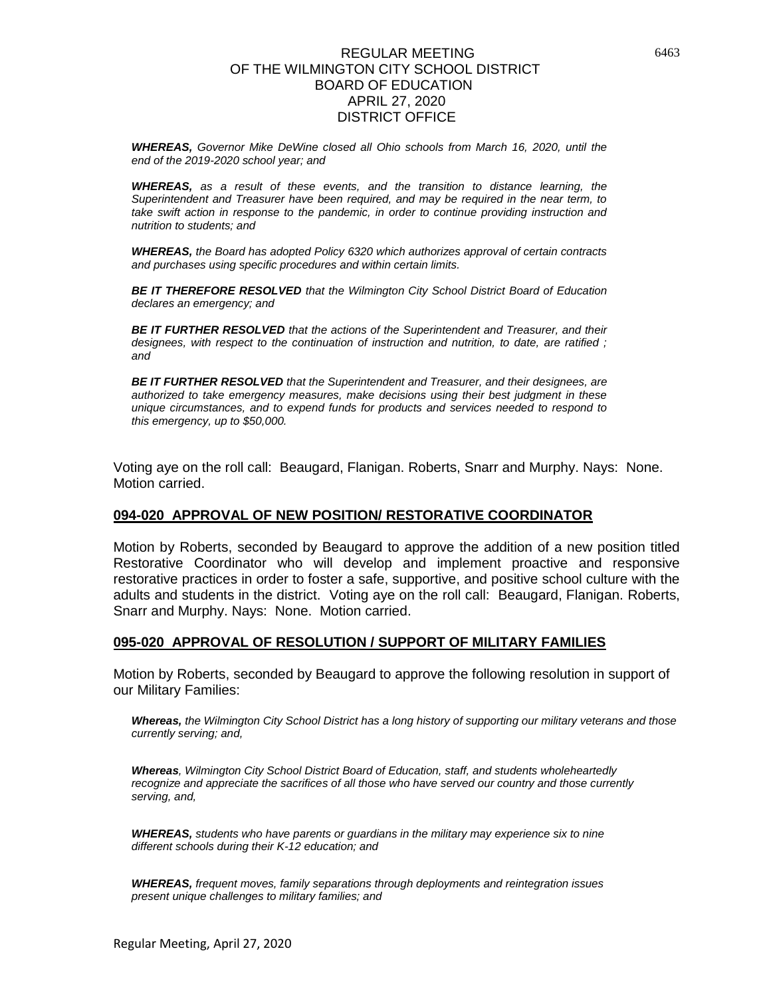*WHEREAS, Governor Mike DeWine closed all Ohio schools from March 16, 2020, until the end of the 2019-2020 school year; and*

*WHEREAS, as a result of these events, and the transition to distance learning, the Superintendent and Treasurer have been required, and may be required in the near term, to take swift action in response to the pandemic, in order to continue providing instruction and nutrition to students; and*

*WHEREAS, the Board has adopted Policy 6320 which authorizes approval of certain contracts and purchases using specific procedures and within certain limits.*

*BE IT THEREFORE RESOLVED that the Wilmington City School District Board of Education declares an emergency; and*

*BE IT FURTHER RESOLVED that the actions of the Superintendent and Treasurer, and their designees, with respect to the continuation of instruction and nutrition, to date, are ratified ; and*

*BE IT FURTHER RESOLVED that the Superintendent and Treasurer, and their designees, are authorized to take emergency measures, make decisions using their best judgment in these unique circumstances, and to expend funds for products and services needed to respond to this emergency, up to \$50,000.*

Voting aye on the roll call: Beaugard, Flanigan. Roberts, Snarr and Murphy. Nays: None. Motion carried.

### **094-020 APPROVAL OF NEW POSITION/ RESTORATIVE COORDINATOR**

Motion by Roberts, seconded by Beaugard to approve the addition of a new position titled Restorative Coordinator who will develop and implement proactive and responsive restorative practices in order to foster a safe, supportive, and positive school culture with the adults and students in the district. Voting aye on the roll call: Beaugard, Flanigan. Roberts, Snarr and Murphy. Nays: None. Motion carried.

#### **095-020 APPROVAL OF RESOLUTION / SUPPORT OF MILITARY FAMILIES**

Motion by Roberts, seconded by Beaugard to approve the following resolution in support of our Military Families:

*Whereas, the Wilmington City School District has a long history of supporting our military veterans and those currently serving; and,*

*Whereas, Wilmington City School District Board of Education, staff, and students wholeheartedly recognize and appreciate the sacrifices of all those who have served our country and those currently serving, and,*

*WHEREAS, students who have parents or guardians in the military may experience six to nine different schools during their K-12 education; and*

*WHEREAS, frequent moves, family separations through deployments and reintegration issues present unique challenges to military families; and*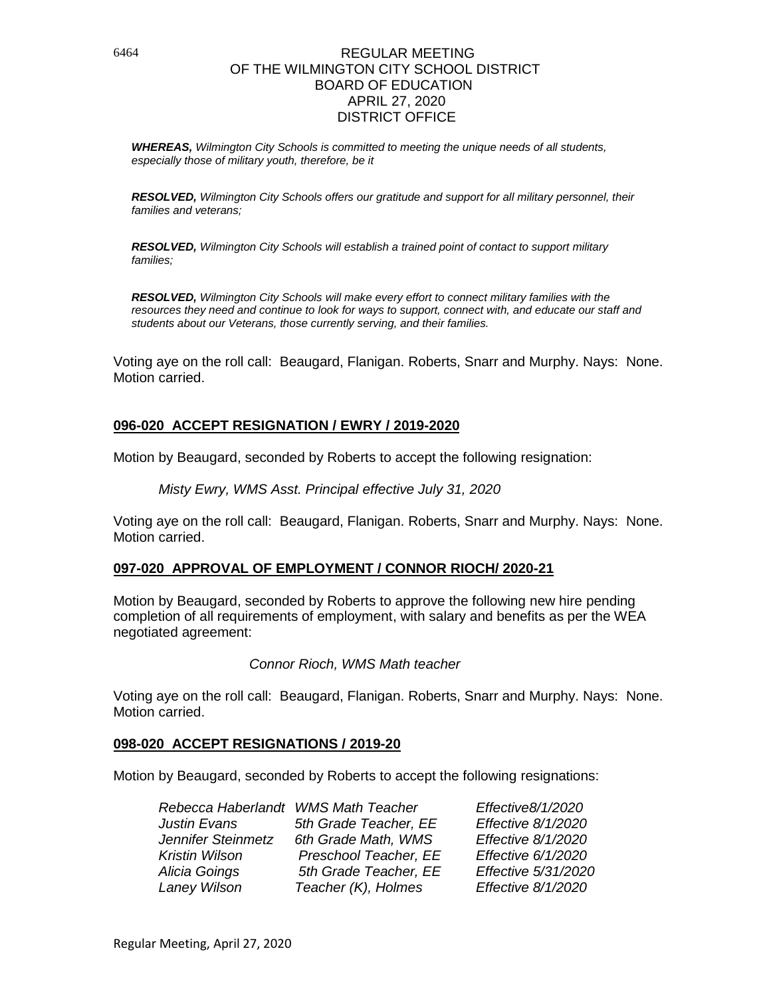*WHEREAS, Wilmington City Schools is committed to meeting the unique needs of all students, especially those of military youth, therefore, be it*

*RESOLVED, Wilmington City Schools offers our gratitude and support for all military personnel, their families and veterans;*

*RESOLVED, Wilmington City Schools will establish a trained point of contact to support military families;*

*RESOLVED, Wilmington City Schools will make every effort to connect military families with the resources they need and continue to look for ways to support, connect with, and educate our staff and students about our Veterans, those currently serving, and their families.*

Voting aye on the roll call: Beaugard, Flanigan. Roberts, Snarr and Murphy. Nays: None. Motion carried.

### **096-020 ACCEPT RESIGNATION / EWRY / 2019-2020**

Motion by Beaugard, seconded by Roberts to accept the following resignation:

*Misty Ewry, WMS Asst. Principal effective July 31, 2020* 

Voting aye on the roll call: Beaugard, Flanigan. Roberts, Snarr and Murphy. Nays: None. Motion carried.

### **097-020 APPROVAL OF EMPLOYMENT / CONNOR RIOCH/ 2020-21**

Motion by Beaugard, seconded by Roberts to approve the following new hire pending completion of all requirements of employment, with salary and benefits as per the WEA negotiated agreement:

*Connor Rioch, WMS Math teacher*

Voting aye on the roll call: Beaugard, Flanigan. Roberts, Snarr and Murphy. Nays: None. Motion carried.

### **098-020 ACCEPT RESIGNATIONS / 2019-20**

Motion by Beaugard, seconded by Roberts to accept the following resignations:

| Rebecca Haberlandt WMS Math Teacher |                       | Effective8/1/2020   |
|-------------------------------------|-----------------------|---------------------|
| <b>Justin Evans</b>                 | 5th Grade Teacher, EE | Effective 8/1/2020  |
| Jennifer Steinmetz                  | 6th Grade Math, WMS   | Effective 8/1/2020  |
| <b>Kristin Wilson</b>               | Preschool Teacher, EE | Effective 6/1/2020  |
| Alicia Goings                       | 5th Grade Teacher, EE | Effective 5/31/2020 |
| Laney Wilson                        | Teacher (K), Holmes   | Effective 8/1/2020  |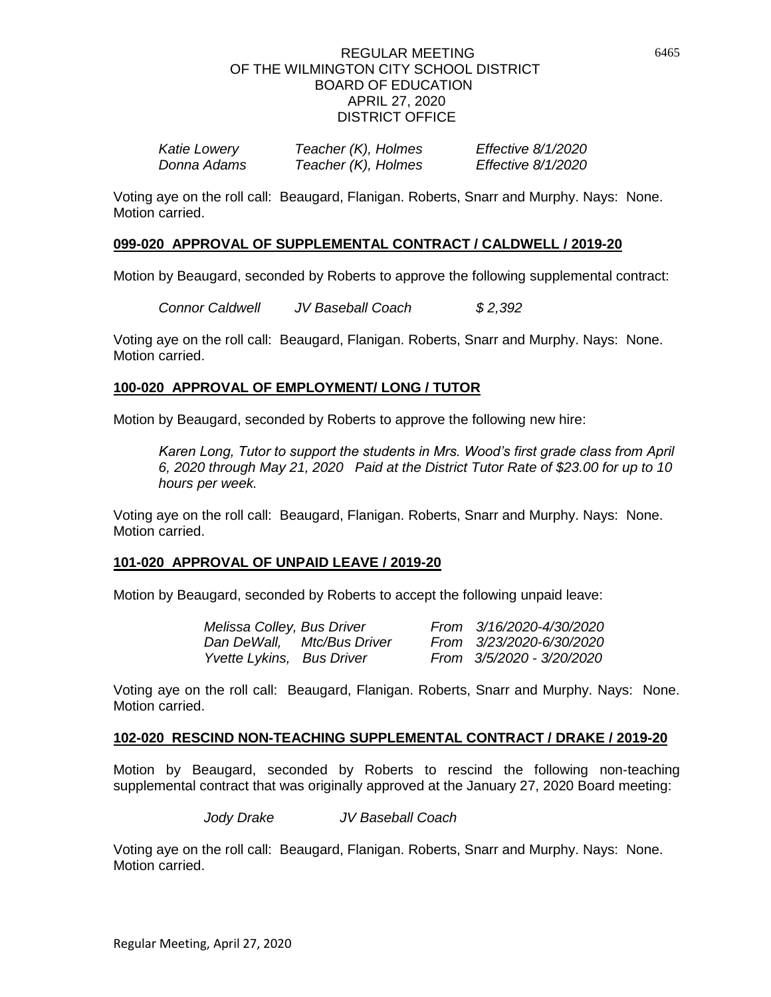| <b>Katie Lowery</b> | Teacher (K), Holmes | Effective 8/1/2020 |
|---------------------|---------------------|--------------------|
| Donna Adams         | Teacher (K), Holmes | Effective 8/1/2020 |

Voting aye on the roll call: Beaugard, Flanigan. Roberts, Snarr and Murphy. Nays: None. Motion carried.

### **099-020 APPROVAL OF SUPPLEMENTAL CONTRACT / CALDWELL / 2019-20**

Motion by Beaugard, seconded by Roberts to approve the following supplemental contract:

*Connor Caldwell JV Baseball Coach \$ 2,392*

Voting aye on the roll call: Beaugard, Flanigan. Roberts, Snarr and Murphy. Nays: None. Motion carried.

### **100-020 APPROVAL OF EMPLOYMENT/ LONG / TUTOR**

Motion by Beaugard, seconded by Roberts to approve the following new hire:

*Karen Long, Tutor to support the students in Mrs. Wood's first grade class from April 6, 2020 through May 21, 2020 Paid at the District Tutor Rate of \$23.00 for up to 10 hours per week.*

Voting aye on the roll call: Beaugard, Flanigan. Roberts, Snarr and Murphy. Nays: None. Motion carried.

### **101-020 APPROVAL OF UNPAID LEAVE / 2019-20**

Motion by Beaugard, seconded by Roberts to accept the following unpaid leave:

| Melissa Colley, Bus Driver |                            | From 3/16/2020-4/30/2020  |
|----------------------------|----------------------------|---------------------------|
|                            | Dan DeWall, Mtc/Bus Driver | From 3/23/2020-6/30/2020  |
| Yvette Lykins, Bus Driver  |                            | From 3/5/2020 - 3/20/2020 |

Voting aye on the roll call: Beaugard, Flanigan. Roberts, Snarr and Murphy. Nays: None. Motion carried.

#### **102-020 RESCIND NON-TEACHING SUPPLEMENTAL CONTRACT / DRAKE / 2019-20**

Motion by Beaugard, seconded by Roberts to rescind the following non-teaching supplemental contract that was originally approved at the January 27, 2020 Board meeting:

*Jody Drake JV Baseball Coach*

Voting aye on the roll call: Beaugard, Flanigan. Roberts, Snarr and Murphy. Nays: None. Motion carried.